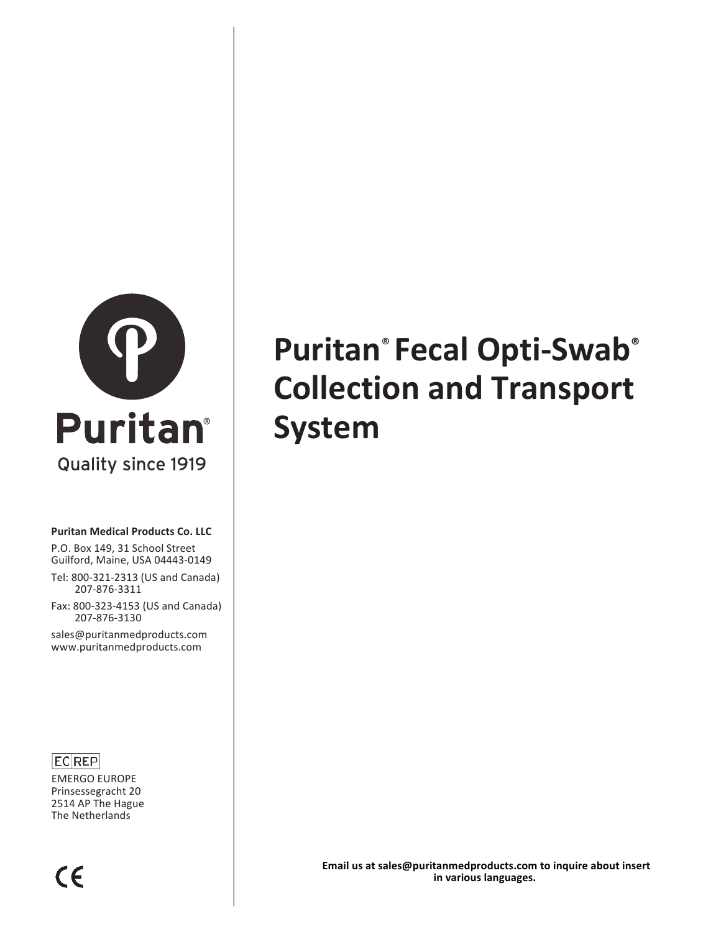

#### **Puritan Medical Products Co. LLC**

P.O. Box 149, 31 School Street Guilford, Maine, USA 04443-0149

Tel: 800-321-2313 (US and Canada) 207-876-3311

Fax: 800-323-4153 (US and Canada) 207-876-3130

sales@puritanmedproducts.com www.puritanmedproducts.com

#### $|EC|REP|$

EMERGO EUROPE Prinsessegracht 20 2514 AP The Hague The Netherlands

# **Puritan® Fecal Opti-Swab® Collection and Transport System**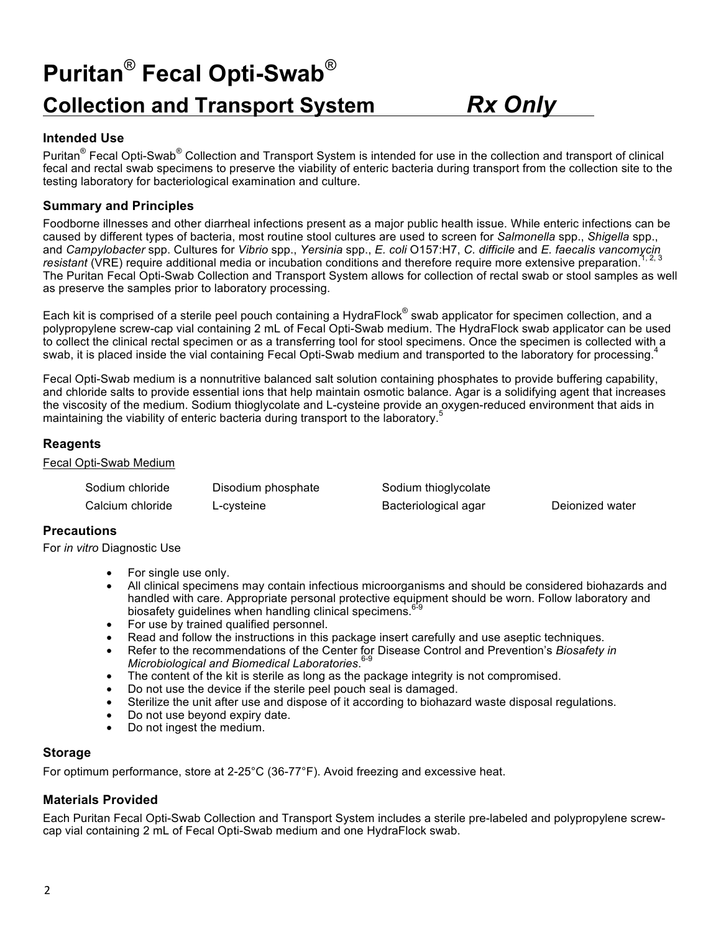## **Puritan**® **Fecal Opti-Swab**® **Collection and Transport System** *Rx Only*

#### **Intended Use**

Puritan<sup>®</sup> Fecal Opti-Swab<sup>®</sup> Collection and Transport System is intended for use in the collection and transport of clinical fecal and rectal swab specimens to preserve the viability of enteric bacteria during transport from the collection site to the testing laboratory for bacteriological examination and culture.

#### **Summary and Principles**

Foodborne illnesses and other diarrheal infections present as a major public health issue. While enteric infections can be caused by different types of bacteria, most routine stool cultures are used to screen for *Salmonella* spp., *Shigella* spp., and *Campylobacter* spp. Cultures for *Vibrio* spp., *Yersinia* spp., *E. coli* O157:H7, *C. difficile* and *E. faecalis vancomycin resistant* (VRE) require additional media or incubation conditions and therefore require more extensive preparation.<sup>1, 2, 3</sup> The Puritan Fecal Opti-Swab Collection and Transport System allows for collection of rectal swab or stool samples as well as preserve the samples prior to laboratory processing.

Each kit is comprised of a sterile peel pouch containing a HydraFlock® swab applicator for specimen collection, and a polypropylene screw-cap vial containing 2 mL of Fecal Opti-Swab medium. The HydraFlock swab applicator can be used to collect the clinical rectal specimen or as a transferring tool for stool specimens. Once the specimen is collected with a swab, it is placed inside the vial containing Fecal Opti-Swab medium and transported to the laboratory for processing.<sup>4</sup>

Fecal Opti-Swab medium is a nonnutritive balanced salt solution containing phosphates to provide buffering capability, and chloride salts to provide essential ions that help maintain osmotic balance. Agar is a solidifying agent that increases the viscosity of the medium. Sodium thioglycolate and L-cysteine provide an oxygen-reduced environment that aids in maintaining the viability of enteric bacteria during transport to the laboratory.<sup>5</sup>

#### **Reagents**

Fecal Opti-Swab Medium

| Sodium chloride  | Disodium phosphate | Sodium thioglycolate |                 |
|------------------|--------------------|----------------------|-----------------|
| Calcium chloride | ∟-cysteine         | Bacteriological agar | Dejonized water |

#### **Precautions**

For *in vitro* Diagnostic Use

- For single use only.
- All clinical specimens may contain infectious microorganisms and should be considered biohazards and handled with care. Appropriate personal protective equipment should be worn. Follow laboratory and biosafety guidelines when handling clinical specimens.<sup>6-9</sup>
- For use by trained qualified personnel.
- Read and follow the instructions in this package insert carefully and use aseptic techniques.
- Refer to the recommendations of the Center for Disease Control and Prevention's *Biosafety in Microbiological and Biomedical Laboratories*. 6-9
- The content of the kit is sterile as long as the package integrity is not compromised.
- Do not use the device if the sterile peel pouch seal is damaged.
- Sterilize the unit after use and dispose of it according to biohazard waste disposal regulations.
- Do not use beyond expiry date.
- Do not ingest the medium.

#### **Storage**

For optimum performance, store at 2-25°C (36-77°F). Avoid freezing and excessive heat.

#### **Materials Provided**

Each Puritan Fecal Opti-Swab Collection and Transport System includes a sterile pre-labeled and polypropylene screwcap vial containing 2 mL of Fecal Opti-Swab medium and one HydraFlock swab.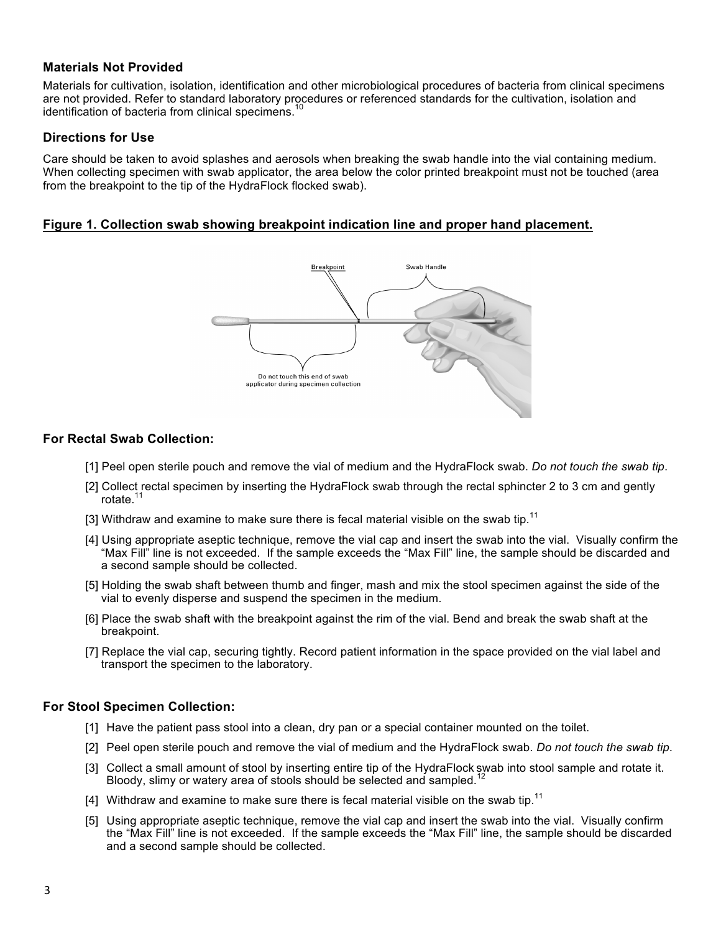#### **Materials Not Provided**

Materials for cultivation, isolation, identification and other microbiological procedures of bacteria from clinical specimens are not provided. Refer to standard laboratory procedures or referenced standards for the cultivation, isolation and identification of bacteria from clinical specimens.<sup>10</sup>

#### **Directions for Use**

Care should be taken to avoid splashes and aerosols when breaking the swab handle into the vial containing medium. When collecting specimen with swab applicator, the area below the color printed breakpoint must not be touched (area from the breakpoint to the tip of the HydraFlock flocked swab).

#### **Figure 1. Collection swab showing breakpoint indication line and proper hand placement.**



#### **For Rectal Swab Collection:**

- [1] Peel open sterile pouch and remove the vial of medium and the HydraFlock swab. *Do not touch the swab tip*.
- [2] Collect rectal specimen by inserting the HydraFlock swab through the rectal sphincter 2 to 3 cm and gently rotate.<sup>11</sup>
- [3] Withdraw and examine to make sure there is fecal material visible on the swab tip.<sup>11</sup>
- [4] Using appropriate aseptic technique, remove the vial cap and insert the swab into the vial. Visually confirm the "Max Fill" line is not exceeded. If the sample exceeds the "Max Fill" line, the sample should be discarded and a second sample should be collected.
- [5] Holding the swab shaft between thumb and finger, mash and mix the stool specimen against the side of the vial to evenly disperse and suspend the specimen in the medium.
- [6] Place the swab shaft with the breakpoint against the rim of the vial. Bend and break the swab shaft at the breakpoint.
- [7] Replace the vial cap, securing tightly. Record patient information in the space provided on the vial label and transport the specimen to the laboratory.

#### **For Stool Specimen Collection:**

- [1] Have the patient pass stool into a clean, dry pan or a special container mounted on the toilet.
- [2] Peel open sterile pouch and remove the vial of medium and the HydraFlock swab. *Do not touch the swab tip*.
- [3] Collect a small amount of stool by inserting entire tip of the HydraFlock swab into stool sample and rotate it. Bloody, slimy or watery area of stools should be selected and sampled.<sup>12</sup>
- [4] Withdraw and examine to make sure there is fecal material visible on the swab tip.<sup>11</sup>
- [5] Using appropriate aseptic technique, remove the vial cap and insert the swab into the vial. Visually confirm the "Max Fill" line is not exceeded. If the sample exceeds the "Max Fill" line, the sample should be discarded and a second sample should be collected.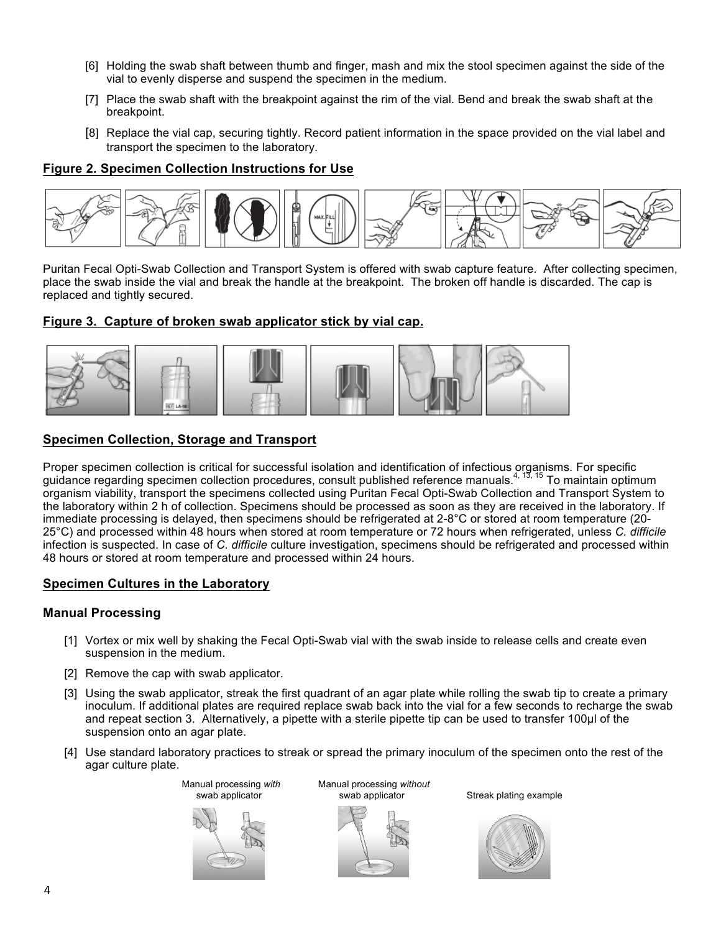- [6] Holding the swab shaft between thumb and finger, mash and mix the stool specimen against the side of the vial to evenly disperse and suspend the specimen in the medium.
- [7] Place the swab shaft with the breakpoint against the rim of the vial. Bend and break the swab shaft at the breakpoint.
- [8] Replace the vial cap, securing tightly. Record patient information in the space provided on the vial label and transport the specimen to the laboratory.

#### **Figure 2. Specimen Collection Instructions for Use**



Puritan Fecal Opti-Swab Collection and Transport System is offered with swab capture feature. After collecting specimen, place the swab inside the vial and break the handle at the breakpoint. The broken off handle is discarded. The cap is replaced and tightly secured.

#### **Figure 3. Capture of broken swab applicator stick by vial cap.**



#### **Specimen Collection, Storage and Transport**

Proper specimen collection is critical for successful isolation and identification of infectious organisms. For specific guidance regarding specimen collection procedures, consult published reference manuals.<sup>4, 13, 15</sup> To maintain optimum organism viability, transport the specimens collected using Puritan Fecal Opti-Swab Collection and Transport System to the laboratory within 2 h of collection. Specimens should be processed as soon as they are received in the laboratory. If immediate processing is delayed, then specimens should be refrigerated at 2-8°C or stored at room temperature (20- 25°C) and processed within 48 hours when stored at room temperature or 72 hours when refrigerated, unless *C. difficile* infection is suspected. In case of *C. difficile* culture investigation, specimens should be refrigerated and processed within 48 hours or stored at room temperature and processed within 24 hours.

#### **Specimen Cultures in the Laboratory**

#### **Manual Processing**

- [1] Vortex or mix well by shaking the Fecal Opti-Swab vial with the swab inside to release cells and create even suspension in the medium.
- [2] Remove the cap with swab applicator.
- [3] Using the swab applicator, streak the first quadrant of an agar plate while rolling the swab tip to create a primary inoculum. If additional plates are required replace swab back into the vial for a few seconds to recharge the swab and repeat section 3. Alternatively, a pipette with a sterile pipette tip can be used to transfer 100µl of the suspension onto an agar plate.
- [4] Use standard laboratory practices to streak or spread the primary inoculum of the specimen onto the rest of the agar culture plate.



Manual processing *with* Manual processing *without*



Streak plating example

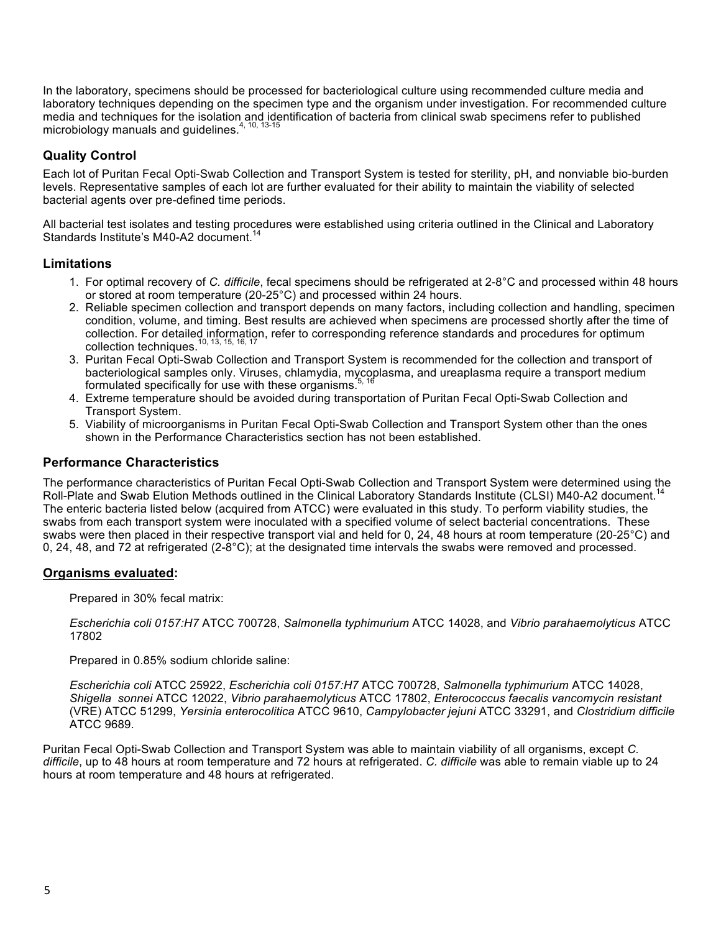In the laboratory, specimens should be processed for bacteriological culture using recommended culture media and laboratory techniques depending on the specimen type and the organism under investigation. For recommended culture media and techniques for the isolation and identification of bacteria from clinical swab specimens refer to published microbiology manuals and guidelines.<sup>4, 10, 13-15</sup>

#### **Quality Control**

Each lot of Puritan Fecal Opti-Swab Collection and Transport System is tested for sterility, pH, and nonviable bio-burden levels. Representative samples of each lot are further evaluated for their ability to maintain the viability of selected bacterial agents over pre-defined time periods.

All bacterial test isolates and testing procedures were established using criteria outlined in the Clinical and Laboratory Standards Institute's M40-A2 document.<sup>14</sup>

#### **Limitations**

- 1. For optimal recovery of *C. difficile*, fecal specimens should be refrigerated at 2-8°C and processed within 48 hours or stored at room temperature (20-25°C) and processed within 24 hours.
- 2. Reliable specimen collection and transport depends on many factors, including collection and handling, specimen condition, volume, and timing. Best results are achieved when specimens are processed shortly after the time of collection. For detailed information, refer to corresponding reference standards and procedures for optimum collection techniques.<sup>10, 13, 15, 16, 17</sup>
- 3. Puritan Fecal Opti-Swab Collection and Transport System is recommended for the collection and transport of bacteriological samples only. Viruses, chlamydia, mycoplasma, and ureaplasma require a transport medium formulated specifically for use with these organisms. $\dot{\cdot}$
- 4. Extreme temperature should be avoided during transportation of Puritan Fecal Opti-Swab Collection and Transport System.
- 5. Viability of microorganisms in Puritan Fecal Opti-Swab Collection and Transport System other than the ones shown in the Performance Characteristics section has not been established.

#### **Performance Characteristics**

The performance characteristics of Puritan Fecal Opti-Swab Collection and Transport System were determined using the<br>Rell Plate and Sureh Flution Methods autlined in the Clinical Lebergtony Standards Institute (CLSI) M40, Roll-Plate and Swab Elution Methods outlined in the Clinical Laboratory Standards Institute (CLSI) M40-A2 document. The enteric bacteria listed below (acquired from ATCC) were evaluated in this study. To perform viability studies, the swabs from each transport system were inoculated with a specified volume of select bacterial concentrations. These swabs were then placed in their respective transport vial and held for 0, 24, 48 hours at room temperature (20-25°C) and 0, 24, 48, and 72 at refrigerated  $(2-8°C)$ ; at the designated time intervals the swabs were removed and processed.

#### **Organisms evaluated:**

Prepared in 30% fecal matrix:

*Escherichia coli 0157:H7* ATCC 700728, *Salmonella typhimurium* ATCC 14028, and *Vibrio parahaemolyticus* ATCC 17802

Prepared in 0.85% sodium chloride saline:

*Escherichia coli* ATCC 25922, *Escherichia coli 0157:H7* ATCC 700728, *Salmonella typhimurium* ATCC 14028, *Shigella sonnei* ATCC 12022, *Vibrio parahaemolyticus* ATCC 17802, *Enterococcus faecalis vancomycin resistant*  (VRE) ATCC 51299, *Yersinia enterocolitica* ATCC 9610, *Campylobacter jejuni* ATCC 33291, and *Clostridium difficile*  ATCC 9689.

Puritan Fecal Opti-Swab Collection and Transport System was able to maintain viability of all organisms, except *C. difficile*, up to 48 hours at room temperature and 72 hours at refrigerated. *C. difficile* was able to remain viable up to 24 hours at room temperature and 48 hours at refrigerated.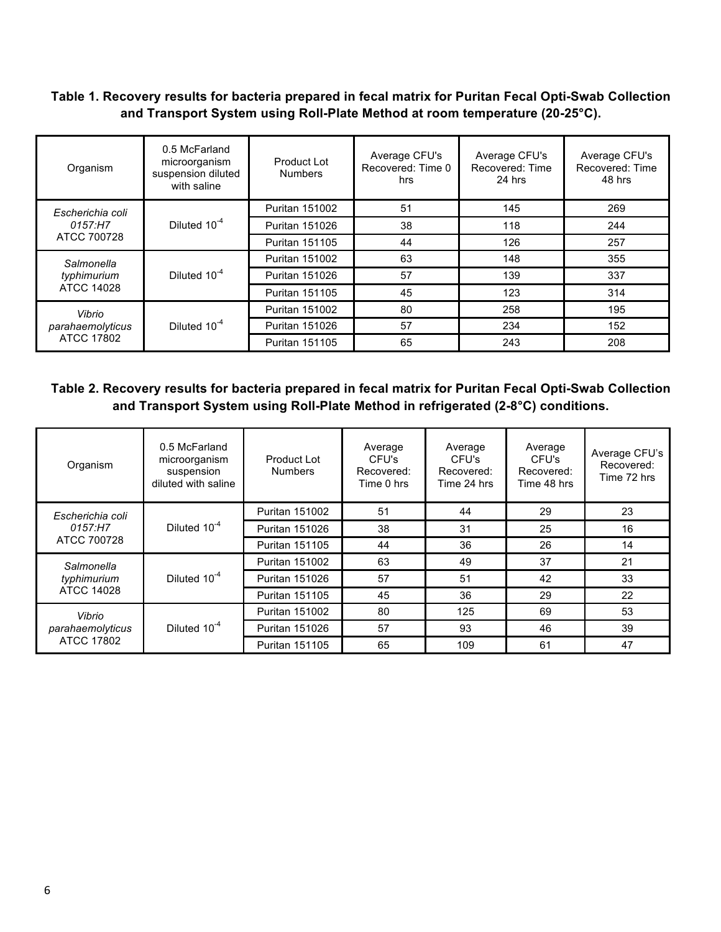#### **Table 1. Recovery results for bacteria prepared in fecal matrix for Puritan Fecal Opti-Swab Collection and Transport System using Roll-Plate Method at room temperature (20-25°C).**

| Organism          | 0.5 McFarland<br>microorganism<br>suspension diluted<br>with saline | Product Lot<br><b>Numbers</b> | Average CFU's<br>Recovered: Time 0<br>hrs | Average CFU's<br>Recovered: Time<br>24 hrs | Average CFU's<br>Recovered: Time<br>48 hrs |
|-------------------|---------------------------------------------------------------------|-------------------------------|-------------------------------------------|--------------------------------------------|--------------------------------------------|
| Escherichia coli  |                                                                     | <b>Puritan 151002</b>         | 51                                        | 145                                        | 269                                        |
| 0157:H7           | Diluted 10 <sup>-4</sup>                                            | <b>Puritan 151026</b>         | 38                                        | 118                                        | 244                                        |
| ATCC 700728       |                                                                     | <b>Puritan 151105</b>         | 44                                        | 126                                        | 257                                        |
| Salmonella        | Diluted 10 <sup>-4</sup>                                            | <b>Puritan 151002</b>         | 63                                        | 148                                        | 355                                        |
| typhimurium       |                                                                     | <b>Puritan 151026</b>         | 57                                        | 139                                        | 337                                        |
| <b>ATCC 14028</b> |                                                                     | <b>Puritan 151105</b>         | 45                                        | 123                                        | 314                                        |
| Vibrio            |                                                                     | <b>Puritan 151002</b>         | 80                                        | 258                                        | 195                                        |
| parahaemolyticus  | Diluted 10 <sup>-4</sup>                                            | <b>Puritan 151026</b>         | 57                                        | 234                                        | 152                                        |
| ATCC 17802        |                                                                     | <b>Puritan 151105</b>         | 65                                        | 243                                        | 208                                        |

#### **Table 2. Recovery results for bacteria prepared in fecal matrix for Puritan Fecal Opti-Swab Collection and Transport System using Roll-Plate Method in refrigerated (2-8°C) conditions.**

| Organism                   | 0.5 McFarland<br>microorganism<br>suspension<br>diluted with saline | Product Lot<br><b>Numbers</b> | Average<br>CFU's<br>Recovered:<br>Time 0 hrs | Average<br>CFU's<br>Recovered:<br>Time 24 hrs | Average<br>CFU's<br>Recovered:<br>Time 48 hrs | Average CFU's<br>Recovered:<br>Time 72 hrs |
|----------------------------|---------------------------------------------------------------------|-------------------------------|----------------------------------------------|-----------------------------------------------|-----------------------------------------------|--------------------------------------------|
| Escherichia coli           |                                                                     | <b>Puritan 151002</b>         | 51                                           | 44                                            | 29                                            | 23                                         |
| 0157:H7                    | Diluted 10 <sup>-4</sup>                                            | <b>Puritan 151026</b>         | 38                                           | 31                                            | 25                                            | 16                                         |
| ATCC 700728                |                                                                     | <b>Puritan 151105</b>         | 44                                           | 36                                            | 26                                            | 14                                         |
| Salmonella                 | Diluted 10 <sup>-4</sup>                                            | <b>Puritan 151002</b>         | 63                                           | 49                                            | 37                                            | 21                                         |
| typhimurium                |                                                                     | <b>Puritan 151026</b>         | 57                                           | 51                                            | 42                                            | 33                                         |
| <b>ATCC 14028</b>          |                                                                     | <b>Puritan 151105</b>         | 45                                           | 36                                            | 29                                            | 22                                         |
| Vibrio<br>parahaemolyticus |                                                                     | <b>Puritan 151002</b>         | 80                                           | 125                                           | 69                                            | 53                                         |
|                            | Diluted 10 <sup>-4</sup>                                            | <b>Puritan 151026</b>         | 57                                           | 93                                            | 46                                            | 39                                         |
| <b>ATCC 17802</b>          |                                                                     | <b>Puritan 151105</b>         | 65                                           | 109                                           | 61                                            | 47                                         |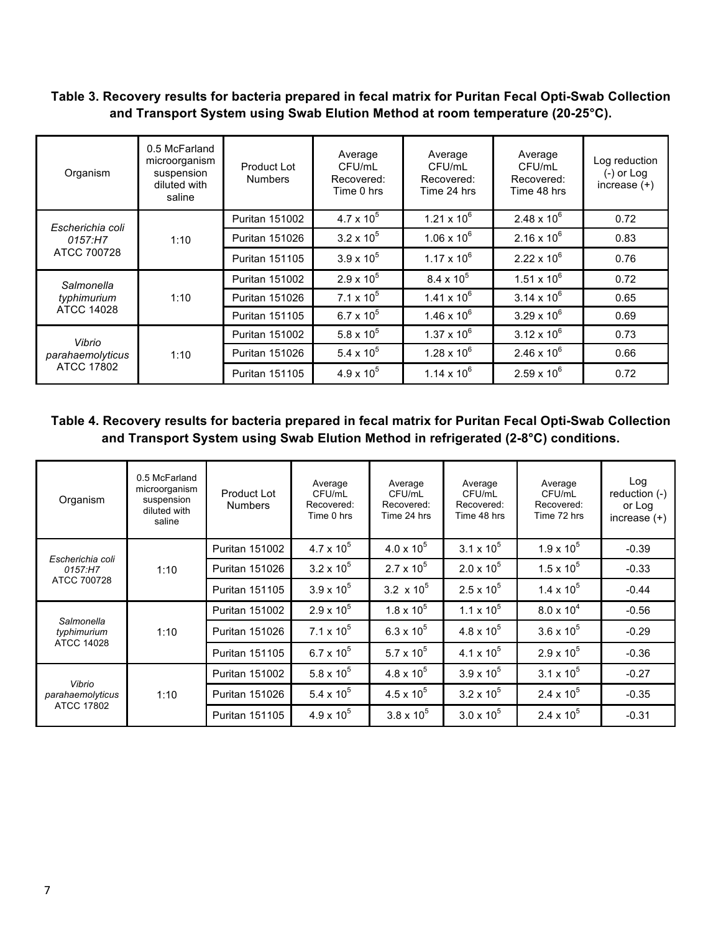#### **Table 3. Recovery results for bacteria prepared in fecal matrix for Puritan Fecal Opti-Swab Collection and Transport System using Swab Elution Method at room temperature (20-25°C).**

| Organism                                 | 0.5 McFarland<br>microorganism<br>suspension<br>diluted with<br>saline | Product Lot<br><b>Numbers</b> | Average<br>CFU/mL<br>Recovered:<br>Time 0 hrs | Average<br>CFU/mL<br>Recovered:<br>Time 24 hrs | Average<br>CFU/mL<br>Recovered:<br>Time 48 hrs | Log reduction<br>$(-)$ or Log<br>increase $(+)$ |
|------------------------------------------|------------------------------------------------------------------------|-------------------------------|-----------------------------------------------|------------------------------------------------|------------------------------------------------|-------------------------------------------------|
| Escherichia coli                         |                                                                        | <b>Puritan 151002</b>         | $4.7 \times 10^{5}$                           | $1.21 \times 10^{6}$                           | $2.48 \times 10^{6}$                           | 0.72                                            |
| 0157:H7                                  | 1:10                                                                   | <b>Puritan 151026</b>         | $3.2 \times 10^5$                             | $1.06 \times 10^{6}$                           | $2.16 \times 10^{6}$                           | 0.83                                            |
| ATCC 700728                              |                                                                        | <b>Puritan 151105</b>         | $3.9 \times 10^{5}$                           | $1.17 \times 10^{6}$                           | $2.22 \times 10^6$                             | 0.76                                            |
| Salmonella                               | 1:10                                                                   | <b>Puritan 151002</b>         | $2.9 \times 10^{5}$                           | $8.4 \times 10^{5}$                            | $1.51 \times 10^{6}$                           | 0.72                                            |
| typhimurium                              |                                                                        | <b>Puritan 151026</b>         | $7.1 \times 10^5$                             | $1.41 \times 10^{6}$                           | $3.14 \times 10^{6}$                           | 0.65                                            |
| ATCC 14028                               |                                                                        | <b>Puritan 151105</b>         | $6.7 \times 10^{5}$                           | $1.46 \times 10^{6}$                           | $3.29 \times 10^{6}$                           | 0.69                                            |
| Vibrio<br>parahaemolyticus<br>ATCC 17802 |                                                                        | Puritan 151002                | $5.8 \times 10^{5}$                           | $1.37 \times 10^{6}$                           | $3.12 \times 10^{6}$                           | 0.73                                            |
|                                          | 1:10                                                                   | <b>Puritan 151026</b>         | 5.4 x $10^5$                                  | $1.28 \times 10^{6}$                           | $2.46 \times 10^{6}$                           | 0.66                                            |
|                                          |                                                                        | <b>Puritan 151105</b>         | $4.9 \times 10^{5}$                           | $1.14 \times 10^{6}$                           | $2.59 \times 10^{6}$                           | 0.72                                            |

#### **Table 4. Recovery results for bacteria prepared in fecal matrix for Puritan Fecal Opti-Swab Collection and Transport System using Swab Elution Method in refrigerated (2-8°C) conditions.**

| Organism                            | 0.5 McFarland<br>microorganism<br>suspension<br>diluted with<br>saline | Product Lot<br><b>Numbers</b> | Average<br>CFU/mL<br>Recovered:<br>Time 0 hrs | Average<br>CFU/mL<br>Recovered:<br>Time 24 hrs | Average<br>CFU/mL<br>Recovered:<br>Time 48 hrs | Average<br>CFU/mL<br>Recovered:<br>Time 72 hrs | Log<br>reduction $(-)$<br>or Log<br>increase $(+)$ |
|-------------------------------------|------------------------------------------------------------------------|-------------------------------|-----------------------------------------------|------------------------------------------------|------------------------------------------------|------------------------------------------------|----------------------------------------------------|
| Escherichia coli<br>1:10<br>0157:H7 | <b>Puritan 151002</b>                                                  | 4.7 x $10^5$                  | $4.0 \times 10^{5}$                           | $3.1 \times 10^5$                              | $1.9 \times 10^{5}$                            | $-0.39$                                        |                                                    |
|                                     |                                                                        | <b>Puritan 151026</b>         | $3.2 \times 10^5$                             | $2.7 \times 10^5$                              | $2.0 \times 10^{5}$                            | $1.5 \times 10^{5}$                            | $-0.33$                                            |
| ATCC 700728                         |                                                                        | <b>Puritan 151105</b>         | $3.9 \times 10^{5}$                           | 3.2 $\times$ 10 <sup>5</sup>                   | $2.5 \times 10^{5}$                            | $1.4 \times 10^{5}$                            | $-0.44$                                            |
|                                     |                                                                        | <b>Puritan 151002</b>         | $2.9 \times 10^{5}$                           | $1.8 \times 10^{5}$                            | $1.1 \times 10^5$                              | $8.0 \times 10^{4}$                            | $-0.56$                                            |
| Salmonella<br>typhimurium           | 1:10                                                                   | <b>Puritan 151026</b>         | $7.1 \times 10^5$                             | 6.3 x $10^5$                                   | $4.8 \times 10^{5}$                            | $3.6 \times 10^{5}$                            | $-0.29$                                            |
| ATCC 14028                          |                                                                        | <b>Puritan 151105</b>         | 6.7 x $10^5$                                  | 5.7 x $10^5$                                   | 4.1 x $10^5$                                   | $2.9 \times 10^{5}$                            | $-0.36$                                            |
| Vibrio<br>parahaemolyticus          |                                                                        | Puritan 151002                | 5.8 x $10^5$                                  | $4.8 \times 10^{5}$                            | $3.9 \times 10^{5}$                            | $3.1 \times 10^5$                              | $-0.27$                                            |
|                                     | 1:10                                                                   | <b>Puritan 151026</b>         | 5.4 x $10^5$                                  | $4.5 \times 10^{5}$                            | $3.2 \times 10^5$                              | 2.4 x $10^5$                                   | $-0.35$                                            |
| ATCC 17802                          |                                                                        | <b>Puritan 151105</b>         | $4.9 \times 10^{5}$                           | $3.8 \times 10^{5}$                            | $3.0 \times 10^{5}$                            | 2.4 x $10^5$                                   | $-0.31$                                            |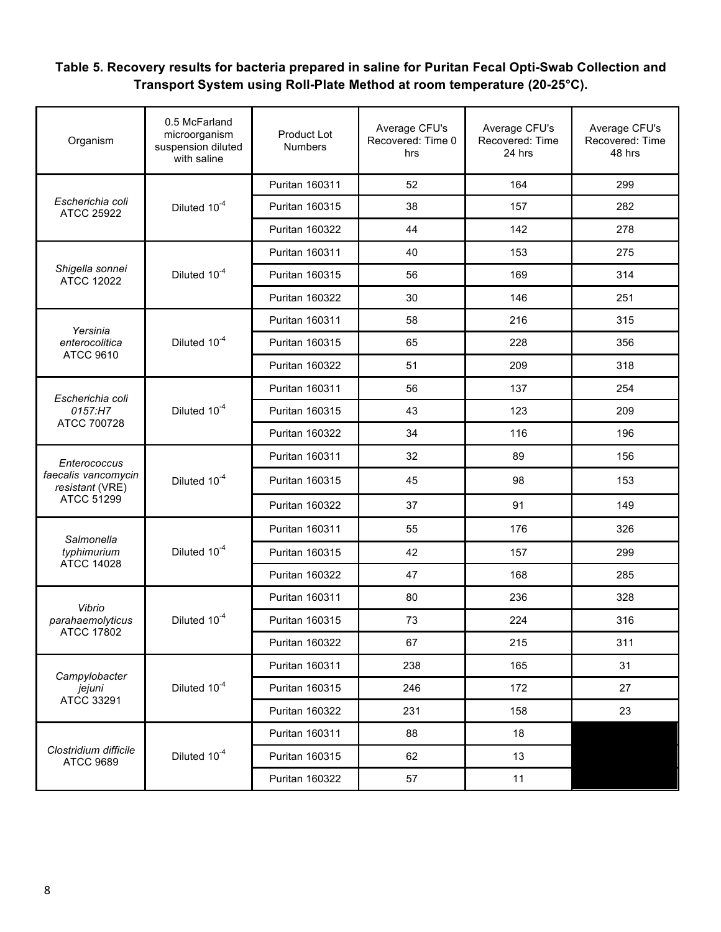### **Table 5. Recovery results for bacteria prepared in saline for Puritan Fecal Opti-Swab Collection and Transport System using Roll-Plate Method at room temperature (20-25°C).**

| Organism                                  | 0.5 McFarland<br>microorganism<br>suspension diluted<br>with saline | <b>Product Lot</b><br>Numbers | Average CFU's<br>Recovered: Time 0<br>hrs | Average CFU's<br>Recovered: Time<br>24 hrs | Average CFU's<br>Recovered: Time<br>48 hrs |
|-------------------------------------------|---------------------------------------------------------------------|-------------------------------|-------------------------------------------|--------------------------------------------|--------------------------------------------|
|                                           |                                                                     | <b>Puritan 160311</b>         | 52                                        | 164                                        | 299                                        |
| Escherichia coli<br><b>ATCC 25922</b>     | Diluted 10 <sup>-4</sup>                                            | <b>Puritan 160315</b>         | 38                                        | 157                                        | 282                                        |
|                                           |                                                                     | <b>Puritan 160322</b>         | 44                                        | 142                                        | 278                                        |
|                                           |                                                                     | Puritan 160311                | 40                                        | 153                                        | 275                                        |
| Shigella sonnei<br><b>ATCC 12022</b>      | Diluted 10 <sup>-4</sup>                                            | Puritan 160315                | 56                                        | 169                                        | 314                                        |
|                                           |                                                                     | Puritan 160322                | 30                                        | 146                                        | 251                                        |
| Yersinia                                  |                                                                     | Puritan 160311                | 58                                        | 216                                        | 315                                        |
| enterocolitica                            | Diluted 10 <sup>-4</sup>                                            | Puritan 160315                | 65                                        | 228                                        | 356                                        |
| <b>ATCC 9610</b>                          |                                                                     | <b>Puritan 160322</b>         | 51                                        | 209                                        | 318                                        |
| Escherichia coli                          |                                                                     | Puritan 160311                | 56                                        | 137                                        | 254                                        |
| 0157:H7                                   | Diluted 10 <sup>-4</sup>                                            | <b>Puritan 160315</b>         | 43                                        | 123                                        | 209                                        |
| ATCC 700728                               |                                                                     | Puritan 160322                | 34                                        | 116                                        | 196                                        |
| Enterococcus                              | Diluted 10 <sup>-4</sup>                                            | Puritan 160311                | 32                                        | 89                                         | 156                                        |
| faecalis vancomycin<br>resistant (VRE)    |                                                                     | Puritan 160315                | 45                                        | 98                                         | 153                                        |
| ATCC 51299                                |                                                                     | <b>Puritan 160322</b>         | 37                                        | 91                                         | 149                                        |
| Salmonella                                |                                                                     | Puritan 160311                | 55                                        | 176                                        | 326                                        |
| typhimurium                               | Diluted 10 <sup>-4</sup>                                            | Puritan 160315                | 42                                        | 157                                        | 299                                        |
| <b>ATCC 14028</b>                         |                                                                     | Puritan 160322                | 47                                        | 168                                        | 285                                        |
| Vibrio                                    |                                                                     | Puritan 160311                | 80                                        | 236                                        | 328                                        |
| parahaemolyticus                          | Diluted 10 <sup>-4</sup>                                            | Puritan 160315                | 73                                        | 224                                        | 316                                        |
| <b>ATCC 17802</b>                         |                                                                     | Puritan 160322                | 67                                        | 215                                        | 311                                        |
| Campylobacter                             |                                                                     | Puritan 160311                | 238                                       | 165                                        | 31                                         |
| jejuni                                    | Diluted 10 <sup>-4</sup>                                            | Puritan 160315                | 246                                       | 172                                        | 27                                         |
| ATCC 33291                                |                                                                     | Puritan 160322                | 231                                       | 158                                        | 23                                         |
|                                           |                                                                     | Puritan 160311                | 88                                        | 18                                         |                                            |
| Clostridium difficile<br><b>ATCC 9689</b> | Diluted 10 <sup>-4</sup>                                            | Puritan 160315                | 62                                        | 13                                         |                                            |
|                                           |                                                                     | Puritan 160322                | 57                                        | 11                                         |                                            |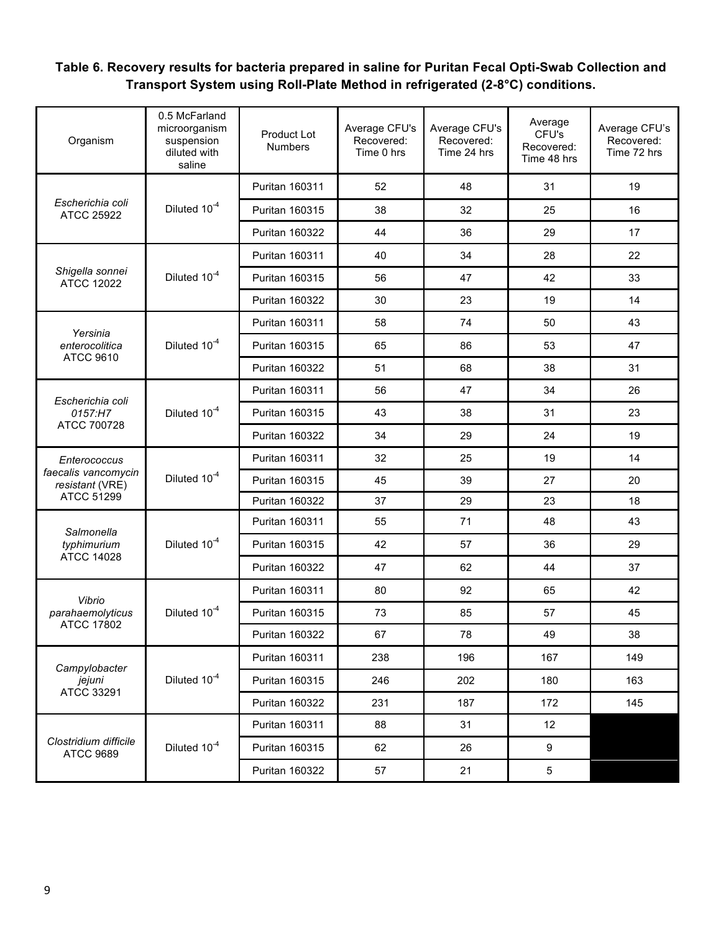### **Table 6. Recovery results for bacteria prepared in saline for Puritan Fecal Opti-Swab Collection and Transport System using Roll-Plate Method in refrigerated (2-8°C) conditions.**

| Organism                                  | 0.5 McFarland<br>microorganism<br>suspension<br>diluted with<br>saline | Product Lot<br><b>Numbers</b> | Average CFU's<br>Recovered:<br>Time 0 hrs | Average CFU's<br>Recovered:<br>Time 24 hrs | Average<br>CFU's<br>Recovered:<br>Time 48 hrs | Average CFU's<br>Recovered:<br>Time 72 hrs |
|-------------------------------------------|------------------------------------------------------------------------|-------------------------------|-------------------------------------------|--------------------------------------------|-----------------------------------------------|--------------------------------------------|
|                                           |                                                                        | Puritan 160311                | 52                                        | 48                                         | 31                                            | 19                                         |
| Escherichia coli<br><b>ATCC 25922</b>     | Diluted 10 <sup>-4</sup>                                               | Puritan 160315                | 38                                        | 32                                         | 25                                            | 16                                         |
|                                           |                                                                        | <b>Puritan 160322</b>         | 44                                        | 36                                         | 29                                            | 17                                         |
|                                           |                                                                        | Puritan 160311                | 40                                        | 34                                         | 28                                            | 22                                         |
| Shigella sonnei<br><b>ATCC 12022</b>      | Diluted 10 <sup>-4</sup>                                               | Puritan 160315                | 56                                        | 47                                         | 42                                            | 33                                         |
|                                           |                                                                        | Puritan 160322                | 30                                        | 23                                         | 19                                            | 14                                         |
| Yersinia                                  |                                                                        | Puritan 160311                | 58                                        | 74                                         | 50                                            | 43                                         |
| enterocolitica                            | Diluted 10 <sup>-4</sup>                                               | <b>Puritan 160315</b>         | 65                                        | 86                                         | 53                                            | 47                                         |
| <b>ATCC 9610</b>                          |                                                                        | <b>Puritan 160322</b>         | 51                                        | 68                                         | 38                                            | 31                                         |
|                                           | Diluted 10 <sup>-4</sup>                                               | Puritan 160311                | 56                                        | 47                                         | 34                                            | 26                                         |
| Escherichia coli<br>0157:H7               |                                                                        | Puritan 160315                | 43                                        | 38                                         | 31                                            | 23                                         |
| ATCC 700728                               |                                                                        | <b>Puritan 160322</b>         | 34                                        | 29                                         | 24                                            | 19                                         |
| Enterococcus                              | Diluted 10 <sup>-4</sup>                                               | Puritan 160311                | 32                                        | 25                                         | 19                                            | 14                                         |
| faecalis vancomycin<br>resistant (VRE)    |                                                                        | Puritan 160315                | 45                                        | 39                                         | 27                                            | 20                                         |
| ATCC 51299                                |                                                                        | <b>Puritan 160322</b>         | 37                                        | 29                                         | 23                                            | 18                                         |
| Salmonella                                | Diluted 10 <sup>-4</sup>                                               | Puritan 160311                | 55                                        | 71                                         | 48                                            | 43                                         |
| typhimurium                               |                                                                        | <b>Puritan 160315</b>         | 42                                        | 57                                         | 36                                            | 29                                         |
| <b>ATCC 14028</b>                         |                                                                        | Puritan 160322                | 47                                        | 62                                         | 44                                            | 37                                         |
| Vibrio                                    |                                                                        | Puritan 160311                | 80                                        | 92                                         | 65                                            | 42                                         |
| parahaemolyticus                          | Diluted 10 <sup>-4</sup>                                               | Puritan 160315                | 73                                        | 85                                         | 57                                            | 45                                         |
| <b>ATCC 17802</b>                         |                                                                        | Puritan 160322                | 67                                        | 78                                         | 49                                            | 38                                         |
| Campylobacter                             |                                                                        | Puritan 160311                | 238                                       | 196                                        | 167                                           | 149                                        |
| jejuni                                    | Diluted 10 <sup>-4</sup>                                               | Puritan 160315                | 246                                       | 202                                        | 180                                           | 163                                        |
| ATCC 33291                                |                                                                        | Puritan 160322                | 231                                       | 187                                        | 172                                           | 145                                        |
|                                           |                                                                        | Puritan 160311                | 88                                        | 31                                         | 12                                            |                                            |
| Clostridium difficile<br><b>ATCC 9689</b> | Diluted 10 <sup>-4</sup>                                               | Puritan 160315                | 62                                        | 26                                         | 9                                             |                                            |
|                                           |                                                                        | Puritan 160322                | 57                                        | 21                                         | 5                                             |                                            |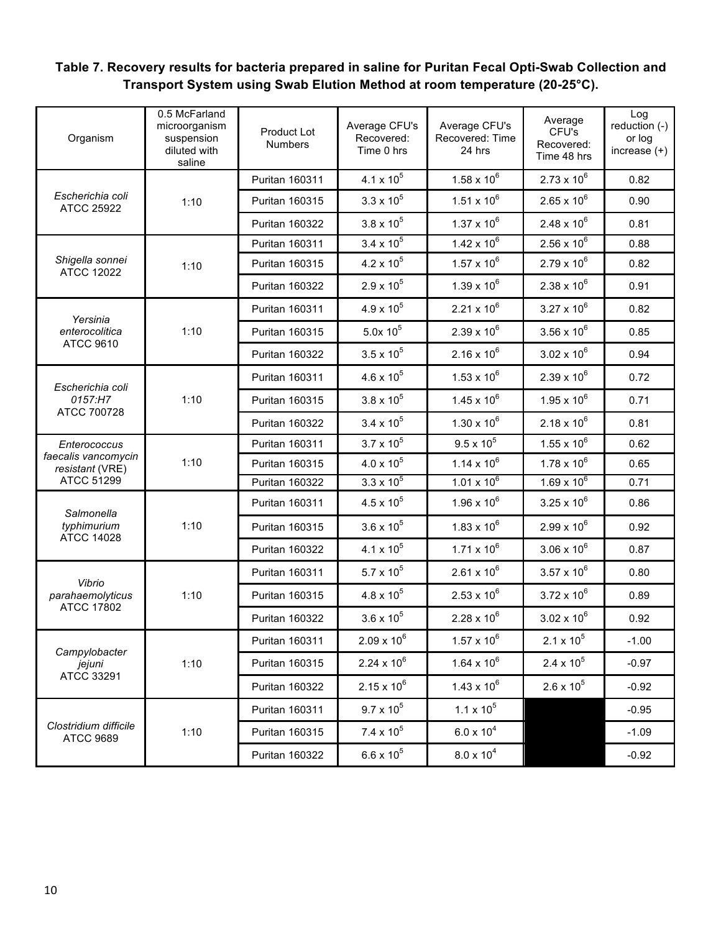### **Table 7. Recovery results for bacteria prepared in saline for Puritan Fecal Opti-Swab Collection and Transport System using Swab Elution Method at room temperature (20-25°C).**

| Organism                                  | 0.5 McFarland<br>microorganism<br>suspension<br>diluted with<br>saline | <b>Product Lot</b><br><b>Numbers</b> | Average CFU's<br>Recovered:<br>Time 0 hrs | Average CFU's<br>Recovered: Time<br>24 hrs | Average<br>CFU's<br>Recovered:<br>Time 48 hrs | Log<br>reduction (-)<br>or log<br>increase $(+)$ |
|-------------------------------------------|------------------------------------------------------------------------|--------------------------------------|-------------------------------------------|--------------------------------------------|-----------------------------------------------|--------------------------------------------------|
|                                           |                                                                        | <b>Puritan 160311</b>                | 4.1 x $10^5$                              | $1.58 \times 10^{6}$                       | $2.73 \times 10^{6}$                          | 0.82                                             |
| Escherichia coli<br><b>ATCC 25922</b>     | 1:10                                                                   | Puritan 160315                       | $3.3 \times 10^{5}$                       | $1.51 \times 10^{6}$                       | $2.65 \times 10^{6}$                          | 0.90                                             |
|                                           |                                                                        | Puritan 160322                       | $3.8 \times 10^{5}$                       | $1.37 \times 10^{6}$                       | $2.48 \times 10^{6}$                          | 0.81                                             |
|                                           |                                                                        | Puritan 160311                       | $3.4 \times 10^{5}$                       | $1.42 \times 10^{6}$                       | $2.56 \times 10^{6}$                          | 0.88                                             |
| Shigella sonnei<br><b>ATCC 12022</b>      | 1:10                                                                   | Puritan 160315                       | $4.2 \times 10^5$                         | $1.57 \times 10^{6}$                       | $2.79 \times 10^{6}$                          | 0.82                                             |
|                                           |                                                                        | <b>Puritan 160322</b>                | $2.9 \times 10^{5}$                       | $1.39 \times 10^{6}$                       | $2.38 \times 10^{6}$                          | 0.91                                             |
| Yersinia                                  |                                                                        | Puritan 160311                       | $4.9 \times 10^{5}$                       | $2.21 \times 10^6$                         | $3.27 \times 10^{6}$                          | 0.82                                             |
| enterocolitica                            | 1:10                                                                   | <b>Puritan 160315</b>                | $5.0x 10^5$                               | $2.39 \times 10^{6}$                       | $3.56 \times 10^{6}$                          | 0.85                                             |
| <b>ATCC 9610</b>                          |                                                                        | Puritan 160322                       | $3.5 \times 10^{5}$                       | $2.16 \times 10^{6}$                       | $3.02 \times 10^{6}$                          | 0.94                                             |
| Escherichia coli                          | 1:10                                                                   | Puritan 160311                       | $4.6 \times 10^{5}$                       | $1.53 \times 10^{6}$                       | $2.39 \times 10^{6}$                          | 0.72                                             |
| 0157:H7                                   |                                                                        | <b>Puritan 160315</b>                | $3.8 \times 10^{5}$                       | $1.45 \times 10^{6}$                       | $1.95 \times 10^{6}$                          | 0.71                                             |
| ATCC 700728                               |                                                                        | <b>Puritan 160322</b>                | $3.4 \times 10^{5}$                       | $1.30 \times 10^{6}$                       | $2.18 \times 10^{6}$                          | 0.81                                             |
| Enterococcus                              | 1:10                                                                   | Puritan 160311                       | $3.7 \times 10^5$                         | $9.5 \times 10^{5}$                        | $1.55 \times 10^{6}$                          | 0.62                                             |
| faecalis vancomycin<br>resistant (VRE)    |                                                                        | Puritan 160315                       | $4.0 \times 10^{5}$                       | $1.14 \times 10^{6}$                       | $1.78 \times 10^{6}$                          | 0.65                                             |
| <b>ATCC 51299</b>                         |                                                                        | Puritan 160322                       | $3.3 \times 10^{5}$                       | $1.01 \times 10^{6}$                       | $1.69 \times 10^{6}$                          | 0.71                                             |
| Salmonella                                | 1:10                                                                   | Puritan 160311                       | $4.5 \times 10^{5}$                       | $1.96 \times 10^{6}$                       | $3.25 \times 10^{6}$                          | 0.86                                             |
| typhimurium<br><b>ATCC 14028</b>          |                                                                        | <b>Puritan 160315</b>                | $3.6 \times 10^{5}$                       | $1.83 \times 10^{6}$                       | $2.99 \times 10^{6}$                          | 0.92                                             |
|                                           |                                                                        | Puritan 160322                       | $4.1 \times 10^{5}$                       | $1.71 \times 10^{6}$                       | $3.06 \times 10^{6}$                          | 0.87                                             |
| Vibrio                                    |                                                                        | Puritan 160311                       | $5.7 \times 10^{5}$                       | $2.61 \times 10^{6}$                       | $3.57 \times 10^{6}$                          | 0.80                                             |
| parahaemolyticus                          | 1:10                                                                   | Puritan 160315                       | $4.8 \times 10^{5}$                       | $2.53 \times 10^{6}$                       | $3.72 \times 10^{6}$                          | 0.89                                             |
| <b>ATCC 17802</b>                         |                                                                        | <b>Puritan 160322</b>                | $3.6 \times 10^{5}$                       | $2.28 \times 10^{6}$                       | $3.02 \times 10^{6}$                          | 0.92                                             |
|                                           |                                                                        | Puritan 160311                       | $2.09 \times 10^{6}$                      | $1.57 \times 10^{6}$                       | $2.1 \times 10^{5}$                           | $-1.00$                                          |
| Campylobacter<br>jejuni                   | 1:10                                                                   | Puritan 160315                       | $2.24 \times 10^6$                        | $1.64 \times 10^{6}$                       | $2.4 \times 10^5$                             | $-0.97$                                          |
| ATCC 33291                                |                                                                        | Puritan 160322                       | $2.15 \times 10^{6}$                      | $1.43 \times 10^{6}$                       | $2.6 \times 10^5$                             | $-0.92$                                          |
|                                           |                                                                        | Puritan 160311                       | $9.7 \times 10^5$                         | $1.1 \times 10^5$                          |                                               | $-0.95$                                          |
| Clostridium difficile<br><b>ATCC 9689</b> | 1:10                                                                   | Puritan 160315                       | $7.4 \times 10^5$                         | $6.0 \times 10^{4}$                        |                                               | $-1.09$                                          |
|                                           |                                                                        | Puritan 160322                       | $6.6 \times 10^{5}$                       | $8.0 \times 10^{4}$                        |                                               | $-0.92$                                          |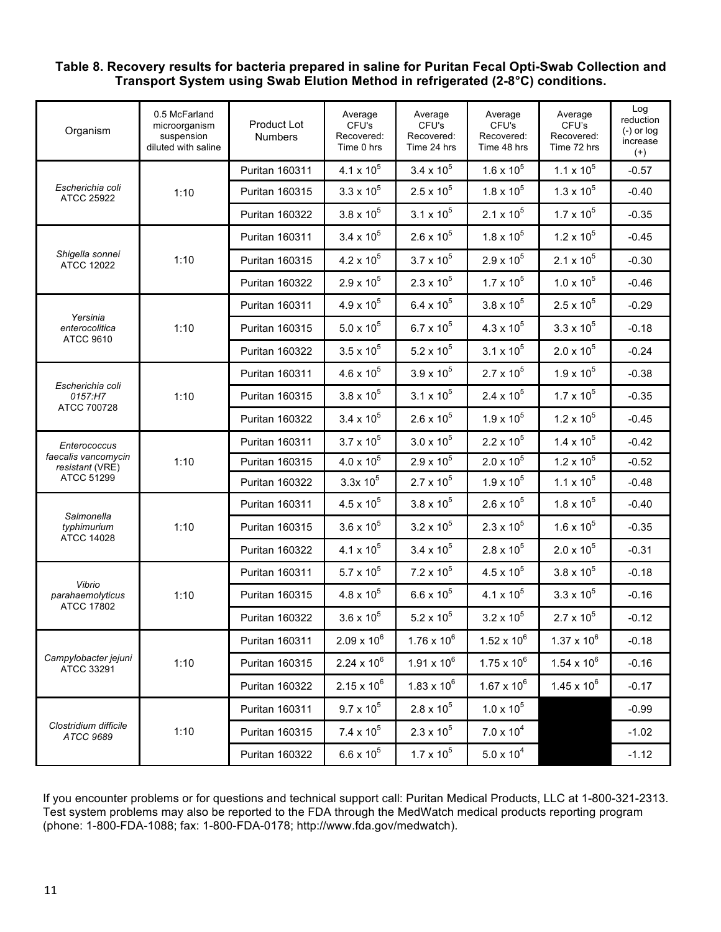#### **Table 8. Recovery results for bacteria prepared in saline for Puritan Fecal Opti-Swab Collection and Transport System using Swab Elution Method in refrigerated (2-8°C) conditions.**

| Organism                                       | 0.5 McFarland<br>microorganism<br>suspension<br>diluted with saline | Product Lot<br><b>Numbers</b> | Average<br>CFU's<br>Recovered:<br>Time 0 hrs | Average<br>CFU's<br>Recovered:<br>Time 24 hrs | Average<br>CFU's<br>Recovered:<br>Time 48 hrs | Average<br>CFU's<br>Recovered:<br>Time 72 hrs | Log<br>reduction<br>$(-)$ or $log$<br>increase<br>$^{(+)}$ |
|------------------------------------------------|---------------------------------------------------------------------|-------------------------------|----------------------------------------------|-----------------------------------------------|-----------------------------------------------|-----------------------------------------------|------------------------------------------------------------|
| Escherichia coli<br>ATCC 25922                 |                                                                     | Puritan 160311                | 4.1 x $10^5$                                 | $3.4 \times 10^{5}$                           | $1.6 \times 10^{5}$                           | $1.1 \times 10^5$                             | $-0.57$                                                    |
|                                                | 1:10                                                                | Puritan 160315                | $3.3 \times 10^{5}$                          | $2.5 \times 10^5$                             | $1.8 \times 10^{5}$                           | $1.3 \times 10^{5}$                           | $-0.40$                                                    |
|                                                |                                                                     | Puritan 160322                | $3.8 \times 10^{5}$                          | $3.1 \times 10^5$                             | $2.1 \times 10^5$                             | $1.7 \times 10^5$                             | $-0.35$                                                    |
|                                                |                                                                     | Puritan 160311                | $3.4 \times 10^{5}$                          | $2.6 \times 10^5$                             | $1.8 \times 10^5$                             | $1.2 \times 10^5$                             | $-0.45$                                                    |
| Shigella sonnei<br><b>ATCC 12022</b>           | 1:10                                                                | Puritan 160315                | $4.2 \times 10^5$                            | $3.7 \times 10^5$                             | $2.9\times10^5$                               | $2.1 \times 10^5$                             | $-0.30$                                                    |
|                                                |                                                                     | Puritan 160322                | $2.9 \times 10^{5}$                          | $2.3 \times 10^{5}$                           | $1.7 \times 10^{5}$                           | $1.0 \times 10^5$                             | $-0.46$                                                    |
|                                                |                                                                     | Puritan 160311                | $4.9 \times 10^{5}$                          | $6.4 \times 10^5$                             | $3.8 \times 10^{5}$                           | $2.5 \times 10^{5}$                           | $-0.29$                                                    |
| Yersinia<br>enterocolitica                     | 1:10                                                                | Puritan 160315                | $5.0 \times 10^5$                            | $6.7 \times 10^{5}$                           | $4.3 \times 10^{5}$                           | $3.3 \times 10^{5}$                           | $-0.18$                                                    |
| <b>ATCC 9610</b>                               |                                                                     | Puritan 160322                | $3.5 \times 10^5$                            | $5.2 \times 10^5$                             | $3.1 \times 10^5$                             | $2.0 \times 10^5$                             | $-0.24$                                                    |
|                                                |                                                                     | Puritan 160311                | $4.6 \times 10^{5}$                          | $3.9 \times 10^{5}$                           | $2.7 \times 10^{5}$                           | $1.9 \times 10^5$                             | $-0.38$                                                    |
| Escherichia coli<br>0157:H7                    | 1:10                                                                | Puritan 160315                | $3.8 \times 10^{5}$                          | $3.1 \times 10^5$                             | $2.4 \times 10^5$                             | $1.7 \times 10^5$                             | $-0.35$                                                    |
| ATCC 700728                                    |                                                                     | Puritan 160322                | $3.4 \times 10^{5}$                          | $2.6 \times 10^5$                             | $1.9 \times 10^{5}$                           | $1.2 \times 10^5$                             | $-0.45$                                                    |
| Enterococcus                                   | 1:10                                                                | Puritan 160311                | $3.7 \times 10^5$                            | $3.0 \times 10^{5}$                           | $2.2 \times 10^5$                             | $1.4 \times 10^5$                             | $-0.42$                                                    |
| faecalis vancomycin<br>resistant (VRE)         |                                                                     | Puritan 160315                | $4.0 \times 10^{5}$                          | $2.9 \times 10^{5}$                           | $2.0 \times 10^5$                             | $1.2 \times 10^5$                             | $-0.52$                                                    |
| ATCC 51299                                     |                                                                     | Puritan 160322                | $3.3x 10^5$                                  | $2.7 \times 10^{5}$                           | $1.9 \times 10^{5}$                           | $1.1 \times 10^5$                             | $-0.48$                                                    |
|                                                | 1:10                                                                | Puritan 160311                | $4.5 \times 10^{5}$                          | $3.8 \times 10^{5}$                           | $2.6 \times 10^5$                             | $1.8 \times 10^5$                             | $-0.40$                                                    |
| Salmonella<br>typhimurium<br><b>ATCC 14028</b> |                                                                     | Puritan 160315                | $3.6 \times 10^{5}$                          | $3.2 \times 10^5$                             | $2.3 \times 10^5$                             | $1.6 \times 10^5$                             | $-0.35$                                                    |
|                                                |                                                                     | Puritan 160322                | 4.1 x $10^5$                                 | $3.4 \times 10^5$                             | $2.8 \times 10^5$                             | $2.0 \times 10^{5}$                           | $-0.31$                                                    |
| Vibrio                                         |                                                                     | Puritan 160311                | $5.7 \times 10^5$                            | $7.2 \times 10^5$                             | $4.5 \times 10^{5}$                           | $3.8 \times 10^{5}$                           | $-0.18$                                                    |
| parahaemolyticus<br><b>ATCC 17802</b>          | 1:10                                                                | Puritan 160315                | $4.8 \times 10^{5}$                          | $6.6 \times 10^{5}$                           | $4.1 \times 10^5$                             | $3.3 \times 10^5$                             | $-0.16$                                                    |
|                                                |                                                                     | Puritan 160322                | $3.6 \times 10^{5}$                          | 5.2 x $10^5$                                  | $3.2 \times 10^5$                             | $2.7 \times 10^5$                             | $-0.12$                                                    |
|                                                |                                                                     | Puritan 160311                | $2.09 \times 10^{6}$                         | $1.76 \times 10^{6}$                          | $1.52 \times 10^6$                            | $1.37 \times 10^{6}$                          | $-0.18$                                                    |
| Campylobacter jejuni<br>ATCC 33291             | 1:10                                                                | Puritan 160315                | $2.24 \times 10^{6}$                         | $1.91 \times 10^6$                            | $1.75 \times 10^6$                            | $1.54 \times 10^{6}$                          | $-0.16$                                                    |
|                                                |                                                                     | Puritan 160322                | $2.15 \times 10^{6}$                         | $1.83 \times 10^{6}$                          | $1.67 \times 10^{6}$                          | $1.45 \times 10^{6}$                          | $-0.17$                                                    |
|                                                |                                                                     | Puritan 160311                | $9.7 \times 10^{5}$                          | $2.8 \times 10^{5}$                           | $1.0 \times 10^5$                             |                                               | $-0.99$                                                    |
| Clostridium difficile<br>ATCC 9689             | 1:10                                                                | Puritan 160315                | $7.4 \times 10^5$                            | $2.3 \times 10^{5}$                           | $7.0 \times 10^4$                             |                                               | $-1.02$                                                    |
|                                                |                                                                     | <b>Puritan 160322</b>         | $6.6 \times 10^{5}$                          | $1.7 \times 10^5$                             | $5.0 \times 10^{4}$                           |                                               | $-1.12$                                                    |

If you encounter problems or for questions and technical support call: Puritan Medical Products, LLC at 1-800-321-2313. Test system problems may also be reported to the FDA through the MedWatch medical products reporting program (phone: 1-800-FDA-1088; fax: 1-800-FDA-0178; http://www.fda.gov/medwatch).